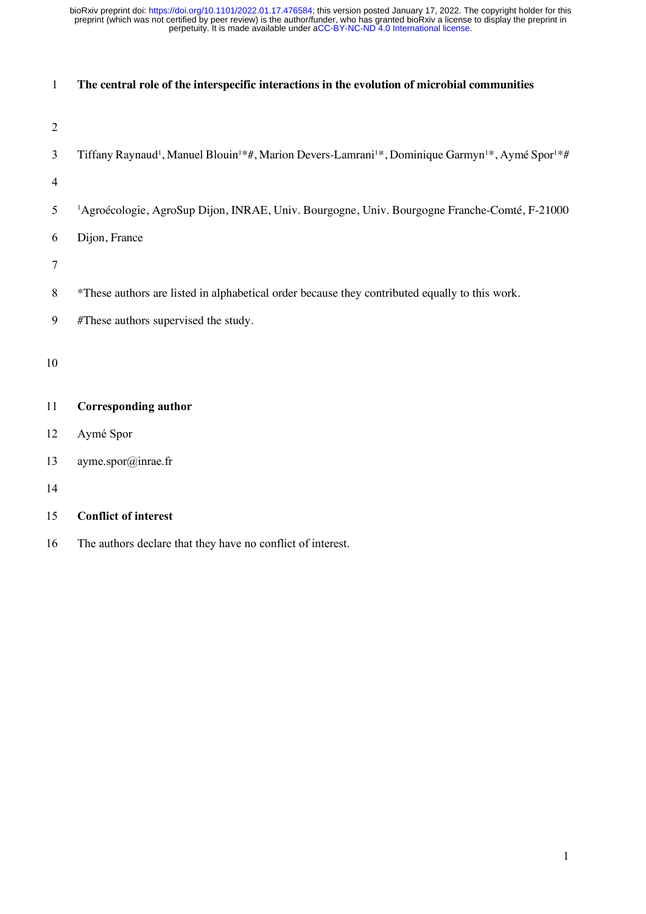| $\mathbf{1}$   | The central role of the interspecific interactions in the evolution of microbial communities                                                                  |
|----------------|---------------------------------------------------------------------------------------------------------------------------------------------------------------|
|                |                                                                                                                                                               |
| $\overline{2}$ |                                                                                                                                                               |
| 3              | Tiffany Raynaud <sup>1</sup> , Manuel Blouin <sup>1*</sup> #, Marion Devers-Lamrani <sup>1*</sup> , Dominique Garmyn <sup>1*</sup> , Aymé Spor <sup>1*#</sup> |
| $\overline{4}$ |                                                                                                                                                               |
| 5              | <sup>1</sup> Agroécologie, AgroSup Dijon, INRAE, Univ. Bourgogne, Univ. Bourgogne Franche-Comté, F-21000                                                      |
| 6              | Dijon, France                                                                                                                                                 |
| $\tau$         |                                                                                                                                                               |
| $\,8\,$        | *These authors are listed in alphabetical order because they contributed equally to this work.                                                                |
| 9              | #These authors supervised the study.                                                                                                                          |
| 10             |                                                                                                                                                               |
| 11             | <b>Corresponding author</b>                                                                                                                                   |
| 12             | Aymé Spor                                                                                                                                                     |
| 13             | ayme.spor@inrae.fr                                                                                                                                            |
| 14             |                                                                                                                                                               |
| 15             | <b>Conflict of interest</b>                                                                                                                                   |

16 The authors declare that they have no conflict of interest.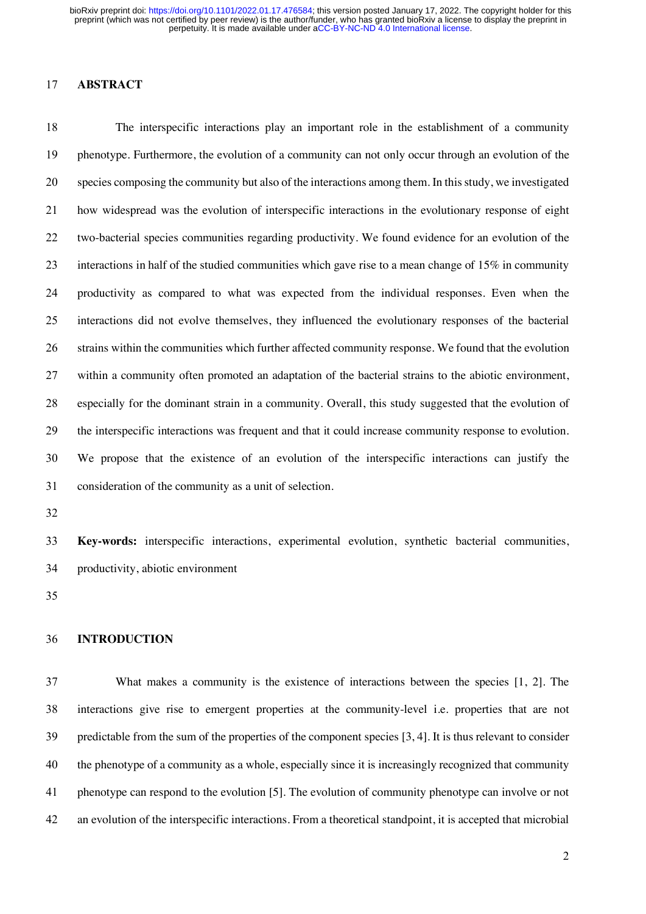### **ABSTRACT**

 The interspecific interactions play an important role in the establishment of a community phenotype. Furthermore, the evolution of a community can not only occur through an evolution of the species composing the community but also of the interactions among them. In this study, we investigated how widespread was the evolution of interspecific interactions in the evolutionary response of eight two-bacterial species communities regarding productivity. We found evidence for an evolution of the interactions in half of the studied communities which gave rise to a mean change of 15% in community productivity as compared to what was expected from the individual responses. Even when the interactions did not evolve themselves, they influenced the evolutionary responses of the bacterial strains within the communities which further affected community response. We found that the evolution within a community often promoted an adaptation of the bacterial strains to the abiotic environment, especially for the dominant strain in a community. Overall, this study suggested that the evolution of the interspecific interactions was frequent and that it could increase community response to evolution. We propose that the existence of an evolution of the interspecific interactions can justify the consideration of the community as a unit of selection.

 **Key-words:** interspecific interactions, experimental evolution, synthetic bacterial communities, productivity, abiotic environment

#### **INTRODUCTION**

 What makes a community is the existence of interactions between the species [1, 2]. The interactions give rise to emergent properties at the community-level i.e. properties that are not predictable from the sum of the properties of the component species [3, 4]. It is thus relevant to consider the phenotype of a community as a whole, especially since it is increasingly recognized that community phenotype can respond to the evolution [5]. The evolution of community phenotype can involve or not an evolution of the interspecific interactions. From a theoretical standpoint, it is accepted that microbial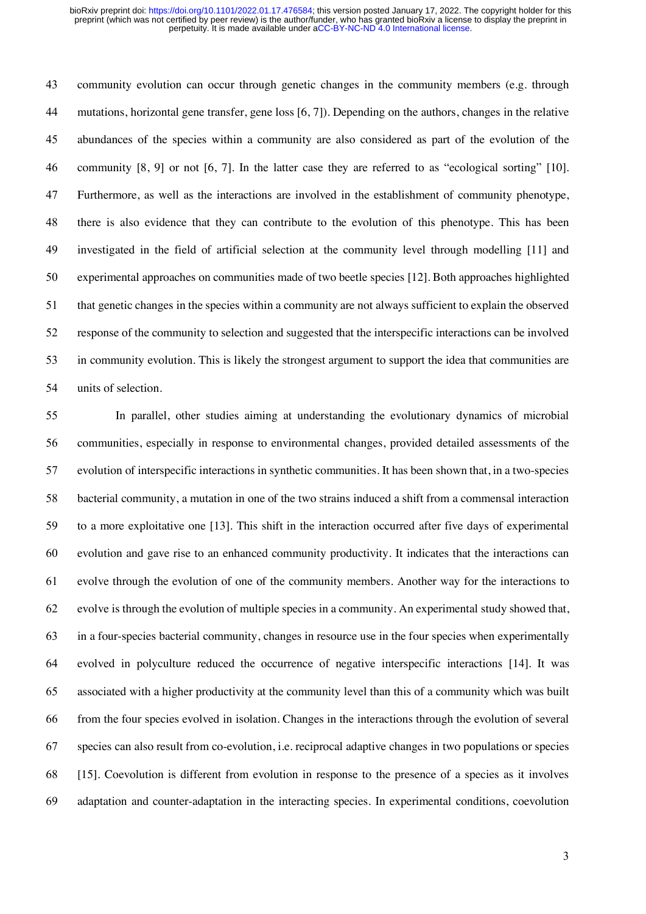community evolution can occur through genetic changes in the community members (e.g. through mutations, horizontal gene transfer, gene loss [6, 7]). Depending on the authors, changes in the relative abundances of the species within a community are also considered as part of the evolution of the community [8, 9] or not [6, 7]. In the latter case they are referred to as "ecological sorting" [10]. Furthermore, as well as the interactions are involved in the establishment of community phenotype, there is also evidence that they can contribute to the evolution of this phenotype. This has been investigated in the field of artificial selection at the community level through modelling [11] and experimental approaches on communities made of two beetle species [12]. Both approaches highlighted that genetic changes in the species within a community are not always sufficient to explain the observed response of the community to selection and suggested that the interspecific interactions can be involved in community evolution. This is likely the strongest argument to support the idea that communities are units of selection.

 In parallel, other studies aiming at understanding the evolutionary dynamics of microbial communities, especially in response to environmental changes, provided detailed assessments of the evolution of interspecific interactions in synthetic communities. It has been shown that, in a two-species bacterial community, a mutation in one of the two strains induced a shift from a commensal interaction to a more exploitative one [13]. This shift in the interaction occurred after five days of experimental evolution and gave rise to an enhanced community productivity. It indicates that the interactions can evolve through the evolution of one of the community members. Another way for the interactions to evolve is through the evolution of multiple species in a community. An experimental study showed that, in a four-species bacterial community, changes in resource use in the four species when experimentally evolved in polyculture reduced the occurrence of negative interspecific interactions [14]. It was associated with a higher productivity at the community level than this of a community which was built from the four species evolved in isolation. Changes in the interactions through the evolution of several species can also result from co-evolution, i.e. reciprocal adaptive changes in two populations or species [15]. Coevolution is different from evolution in response to the presence of a species as it involves adaptation and counter-adaptation in the interacting species. In experimental conditions, coevolution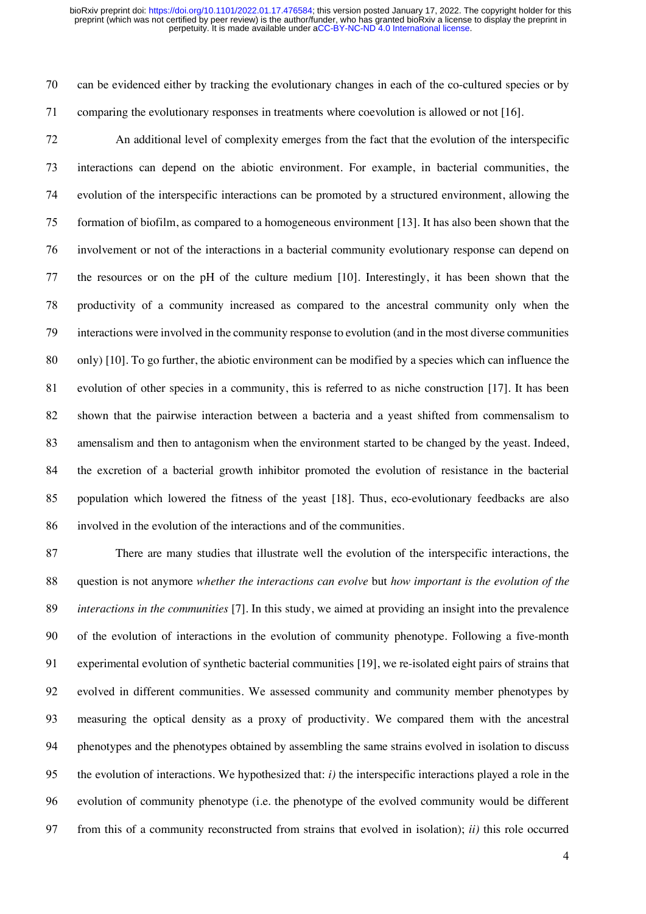can be evidenced either by tracking the evolutionary changes in each of the co-cultured species or by comparing the evolutionary responses in treatments where coevolution is allowed or not [16].

 An additional level of complexity emerges from the fact that the evolution of the interspecific interactions can depend on the abiotic environment. For example, in bacterial communities, the evolution of the interspecific interactions can be promoted by a structured environment, allowing the formation of biofilm, as compared to a homogeneous environment [13]. It has also been shown that the involvement or not of the interactions in a bacterial community evolutionary response can depend on the resources or on the pH of the culture medium [10]. Interestingly, it has been shown that the productivity of a community increased as compared to the ancestral community only when the interactions were involved in the community response to evolution (and in the most diverse communities only) [10]. To go further, the abiotic environment can be modified by a species which can influence the evolution of other species in a community, this is referred to as niche construction [17]. It has been shown that the pairwise interaction between a bacteria and a yeast shifted from commensalism to amensalism and then to antagonism when the environment started to be changed by the yeast. Indeed, the excretion of a bacterial growth inhibitor promoted the evolution of resistance in the bacterial population which lowered the fitness of the yeast [18]. Thus, eco-evolutionary feedbacks are also involved in the evolution of the interactions and of the communities.

 There are many studies that illustrate well the evolution of the interspecific interactions, the question is not anymore *whether the interactions can evolve* but *how important is the evolution of the interactions in the communities* [7]. In this study, we aimed at providing an insight into the prevalence of the evolution of interactions in the evolution of community phenotype. Following a five-month experimental evolution of synthetic bacterial communities [19], we re-isolated eight pairs of strains that evolved in different communities. We assessed community and community member phenotypes by measuring the optical density as a proxy of productivity. We compared them with the ancestral phenotypes and the phenotypes obtained by assembling the same strains evolved in isolation to discuss the evolution of interactions. We hypothesized that: *i)* the interspecific interactions played a role in the evolution of community phenotype (i.e. the phenotype of the evolved community would be different from this of a community reconstructed from strains that evolved in isolation); *ii)* this role occurred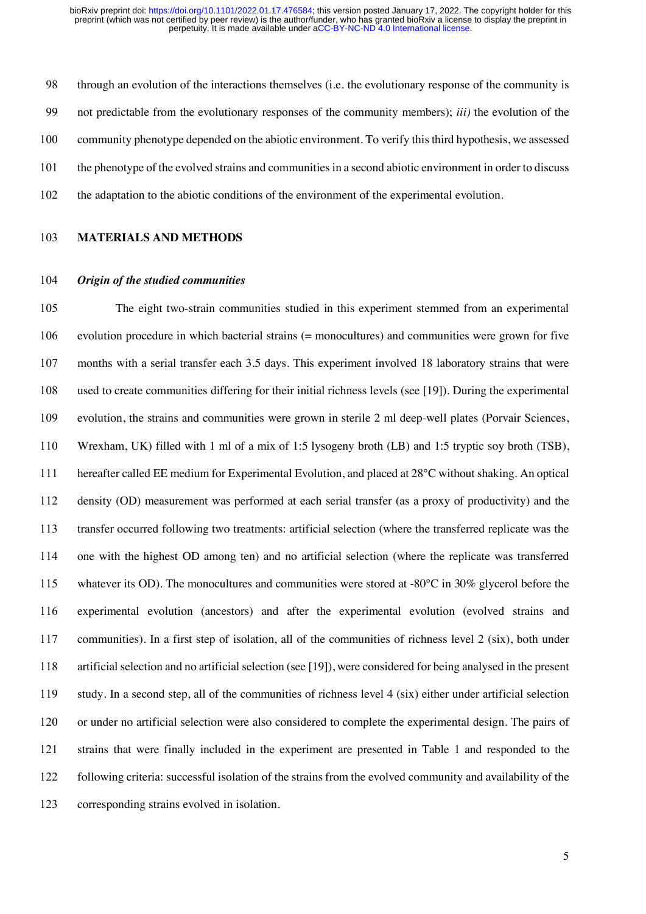through an evolution of the interactions themselves (i.e*.* the evolutionary response of the community is not predictable from the evolutionary responses of the community members); *iii)* the evolution of the community phenotype depended on the abiotic environment. To verify this third hypothesis, we assessed the phenotype of the evolved strains and communities in a second abiotic environment in order to discuss the adaptation to the abiotic conditions of the environment of the experimental evolution.

#### **MATERIALS AND METHODS**

# *Origin of the studied communities*

 The eight two-strain communities studied in this experiment stemmed from an experimental evolution procedure in which bacterial strains (= monocultures) and communities were grown for five months with a serial transfer each 3.5 days. This experiment involved 18 laboratory strains that were used to create communities differing for their initial richness levels (see [19]). During the experimental evolution, the strains and communities were grown in sterile 2 ml deep-well plates (Porvair Sciences, Wrexham, UK) filled with 1 ml of a mix of 1:5 lysogeny broth (LB) and 1:5 tryptic soy broth (TSB), hereafter called EE medium for Experimental Evolution, and placed at 28°C without shaking. An optical density (OD) measurement was performed at each serial transfer (as a proxy of productivity) and the transfer occurred following two treatments: artificial selection (where the transferred replicate was the one with the highest OD among ten) and no artificial selection (where the replicate was transferred 115 whatever its OD). The monocultures and communities were stored at -80°C in 30% glycerol before the experimental evolution (ancestors) and after the experimental evolution (evolved strains and communities). In a first step of isolation, all of the communities of richness level 2 (six), both under artificial selection and no artificial selection (see [19]), were considered for being analysed in the present study. In a second step, all of the communities of richness level 4 (six) either under artificial selection or under no artificial selection were also considered to complete the experimental design. The pairs of strains that were finally included in the experiment are presented in Table 1 and responded to the following criteria: successful isolation of the strains from the evolved community and availability of the corresponding strains evolved in isolation.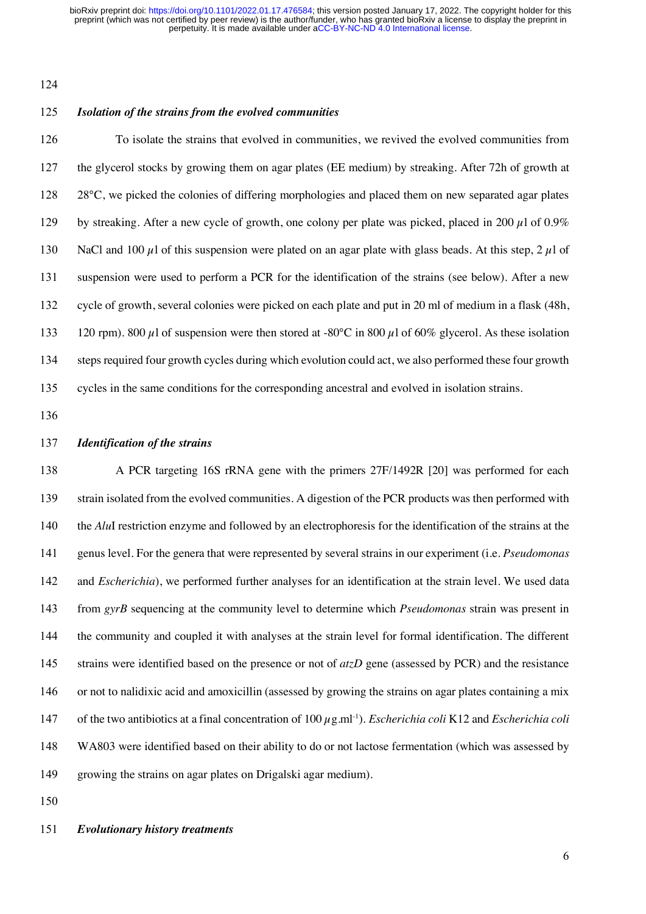# *Isolation of the strains from the evolved communities*

 To isolate the strains that evolved in communities, we revived the evolved communities from the glycerol stocks by growing them on agar plates (EE medium) by streaking. After 72h of growth at 28°C, we picked the colonies of differing morphologies and placed them on new separated agar plates 129 by streaking. After a new cycle of growth, one colony per plate was picked, placed in 200  $\mu$ l of 0.9% 130 NaCl and 100  $\mu$ 1 of this suspension were plated on an agar plate with glass beads. At this step, 2  $\mu$ 1 of suspension were used to perform a PCR for the identification of the strains (see below). After a new cycle of growth, several colonies were picked on each plate and put in 20 ml of medium in a flask (48h, 133 120 rpm). 800  $\mu$ l of suspension were then stored at -80°C in 800  $\mu$ l of 60% glycerol. As these isolation steps required four growth cycles during which evolution could act, we also performed these four growth cycles in the same conditions for the corresponding ancestral and evolved in isolation strains.

#### *Identification of the strains*

 A PCR targeting 16S rRNA gene with the primers 27F/1492R [20] was performed for each strain isolated from the evolved communities. A digestion of the PCR products was then performed with the *Alu*I restriction enzyme and followed by an electrophoresis for the identification of the strains at the genus level. For the genera that were represented by several strains in our experiment (i.e. *Pseudomonas* and *Escherichia*), we performed further analyses for an identification at the strain level. We used data from *gyrB* sequencing at the community level to determine which *Pseudomonas* strain was present in the community and coupled it with analyses at the strain level for formal identification. The different strains were identified based on the presence or not of *atzD* gene (assessed by PCR) and the resistance or not to nalidixic acid and amoxicillin (assessed by growing the strains on agar plates containing a mix 147 of the two antibiotics at a final concentration of  $100 \mu$ g.ml<sup>-1</sup>). *Escherichia coli* K12 and *Escherichia coli*  WA803 were identified based on their ability to do or not lactose fermentation (which was assessed by growing the strains on agar plates on Drigalski agar medium).

### *Evolutionary history treatments*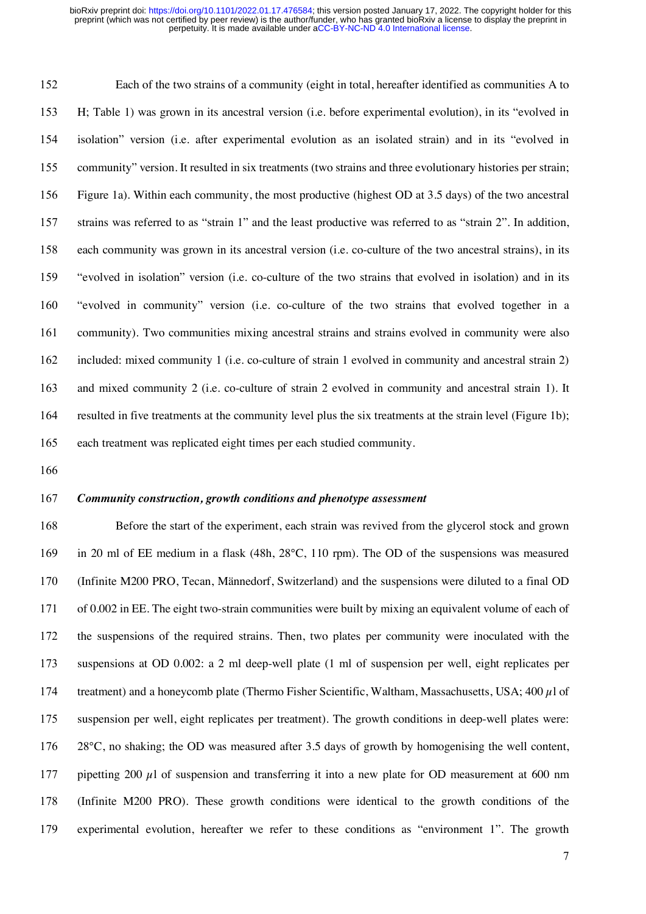Each of the two strains of a community (eight in total, hereafter identified as communities A to H; Table 1) was grown in its ancestral version (i.e. before experimental evolution), in its "evolved in isolation" version (i.e. after experimental evolution as an isolated strain) and in its "evolved in community" version. It resulted in six treatments (two strains and three evolutionary histories per strain; Figure 1a). Within each community, the most productive (highest OD at 3.5 days) of the two ancestral strains was referred to as "strain 1" and the least productive was referred to as "strain 2". In addition, each community was grown in its ancestral version (i.e. co-culture of the two ancestral strains), in its "evolved in isolation" version (i.e. co-culture of the two strains that evolved in isolation) and in its "evolved in community" version (i.e. co-culture of the two strains that evolved together in a community). Two communities mixing ancestral strains and strains evolved in community were also included: mixed community 1 (i.e. co-culture of strain 1 evolved in community and ancestral strain 2) and mixed community 2 (i.e. co-culture of strain 2 evolved in community and ancestral strain 1). It resulted in five treatments at the community level plus the six treatments at the strain level (Figure 1b); each treatment was replicated eight times per each studied community.

#### *Community construction, growth conditions and phenotype assessment*

 Before the start of the experiment, each strain was revived from the glycerol stock and grown in 20 ml of EE medium in a flask (48h, 28°C, 110 rpm). The OD of the suspensions was measured (Infinite M200 PRO, Tecan, Männedorf, Switzerland) and the suspensions were diluted to a final OD of 0.002 in EE. The eight two-strain communities were built by mixing an equivalent volume of each of the suspensions of the required strains. Then, two plates per community were inoculated with the suspensions at OD 0.002: a 2 ml deep-well plate (1 ml of suspension per well, eight replicates per treatment) and a honeycomb plate (Thermo Fisher Scientific, Waltham, Massachusetts, USA; 400 µl of suspension per well, eight replicates per treatment). The growth conditions in deep-well plates were: 28°C, no shaking; the OD was measured after 3.5 days of growth by homogenising the well content, 177 pipetting 200  $\mu$ l of suspension and transferring it into a new plate for OD measurement at 600 nm (Infinite M200 PRO). These growth conditions were identical to the growth conditions of the experimental evolution, hereafter we refer to these conditions as "environment 1". The growth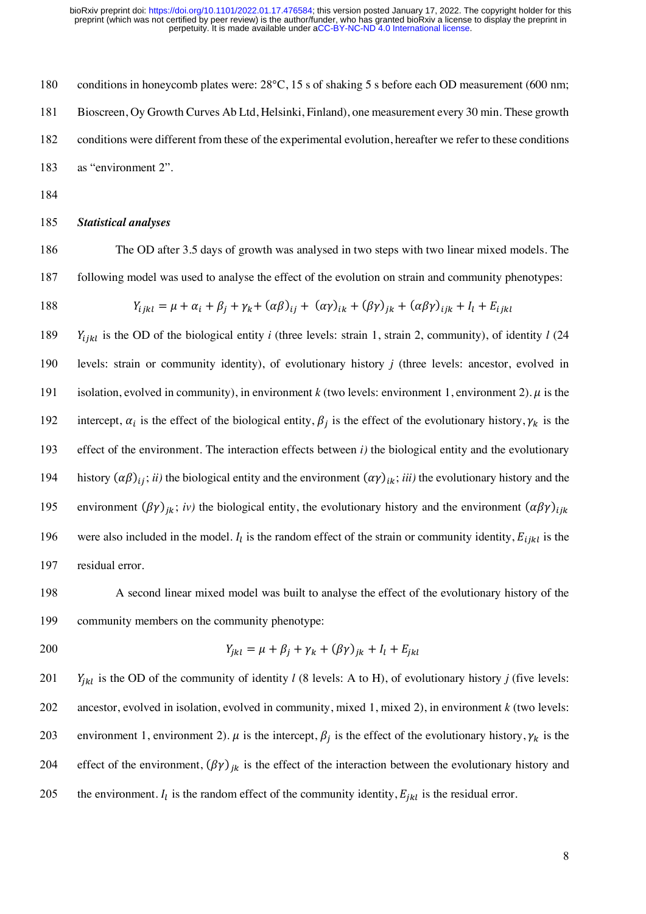180 conditions in honeycomb plates were:  $28^{\circ}$ C, 15 s of shaking 5 s before each OD measurement (600 nm; Bioscreen, Oy Growth Curves Ab Ltd, Helsinki, Finland), one measurement every 30 min. These growth conditions were different from these of the experimental evolution, hereafter we refer to these conditions as "environment 2".

184

# 185 *Statistical analyses*

186 The OD after 3.5 days of growth was analysed in two steps with two linear mixed models. The 187 following model was used to analyse the effect of the evolution on strain and community phenotypes:

188 
$$
Y_{ijkl} = \mu + \alpha_i + \beta_j + \gamma_k + (\alpha \beta)_{ij} + (\alpha \gamma)_{ik} + (\beta \gamma)_{jk} + (\alpha \beta \gamma)_{ijk} + I_l + E_{ijkl}
$$

189  $Y_{ijkl}$  is the OD of the biological entity *i* (three levels: strain 1, strain 2, community), of identity *l* (24) 190 levels: strain or community identity), of evolutionary history *j* (three levels: ancestor, evolved in 191 isolation, evolved in community), in environment  $k$  (two levels: environment 1, environment 2).  $\mu$  is the intercept,  $\alpha_i$  is the effect of the biological entity,  $\beta_i$  is the effect of the evolutionary history,  $\gamma_k$  is the 193 effect of the environment. The interaction effects between *i)* the biological entity and the evolutionary history  $(\alpha\beta)_{ij}$ ; *ii*) the biological entity and the environment  $(\alpha\gamma)_{ik}$ ; *iii*) the evolutionary history and the environment  $(\beta \gamma)_{ik}$ ; *iv*) the biological entity, the evolutionary history and the environment  $(\alpha \beta \gamma)_{ijk}$ 196 were also included in the model.  $I_l$  is the random effect of the strain or community identity,  $E_{ijkl}$  is the 197 residual error.

198 A second linear mixed model was built to analyse the effect of the evolutionary history of the 199 community members on the community phenotype:

200 
$$
Y_{jkl} = \mu + \beta_j + \gamma_k + (\beta \gamma)_{jk} + I_l + E_{jkl}
$$

201 *Y<sub>jkl</sub>* is the OD of the community of identity *l* (8 levels: A to H), of evolutionary history *j* (five levels: 202 ancestor, evolved in isolation, evolved in community, mixed 1, mixed 2), in environment *k* (two levels: 203 environment 1, environment 2).  $\mu$  is the intercept,  $\beta_i$  is the effect of the evolutionary history,  $\gamma_k$  is the 204 effect of the environment,  $(\beta \gamma)_{ik}$  is the effect of the interaction between the evolutionary history and 205 the environment.  $I_l$  is the random effect of the community identity,  $E_{jkl}$  is the residual error.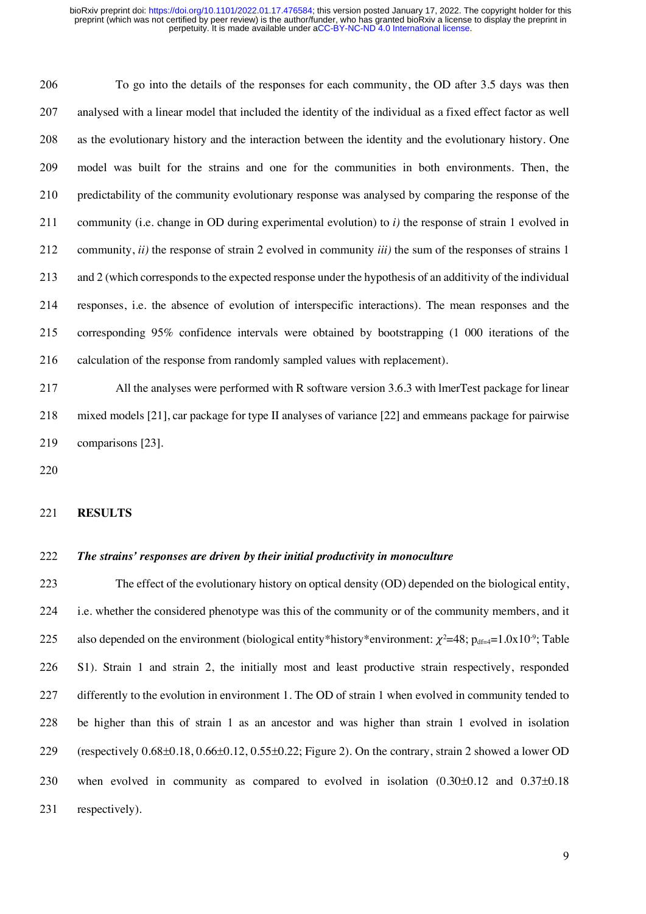To go into the details of the responses for each community, the OD after 3.5 days was then analysed with a linear model that included the identity of the individual as a fixed effect factor as well as the evolutionary history and the interaction between the identity and the evolutionary history. One model was built for the strains and one for the communities in both environments. Then, the predictability of the community evolutionary response was analysed by comparing the response of the community (i.e. change in OD during experimental evolution) to *i)* the response of strain 1 evolved in community, *ii)* the response of strain 2 evolved in community *iii)* the sum of the responses of strains 1 and 2 (which corresponds to the expected response under the hypothesis of an additivity of the individual responses, i.e. the absence of evolution of interspecific interactions). The mean responses and the corresponding 95% confidence intervals were obtained by bootstrapping (1 000 iterations of the calculation of the response from randomly sampled values with replacement).

 All the analyses were performed with R software version 3.6.3 with lmerTest package for linear mixed models [21], car package for type II analyses of variance [22] and emmeans package for pairwise comparisons [23].

#### **RESULTS**

### *The strains' responses are driven by their initial productivity in monoculture*

 The effect of the evolutionary history on optical density (OD) depended on the biological entity, i.e. whether the considered phenotype was this of the community or of the community members, and it 225 also depended on the environment (biological entity\*history\*environment:  $\chi^2$ =48; p<sub>df=4</sub>=1.0x10<sup>-9</sup>; Table S1). Strain 1 and strain 2, the initially most and least productive strain respectively, responded differently to the evolution in environment 1. The OD of strain 1 when evolved in community tended to be higher than this of strain 1 as an ancestor and was higher than strain 1 evolved in isolation (respectively 0.68±0.18, 0.66±0.12, 0.55±0.22; Figure 2). On the contrary, strain 2 showed a lower OD when evolved in community as compared to evolved in isolation (0.30±0.12 and 0.37±0.18 231 respectively).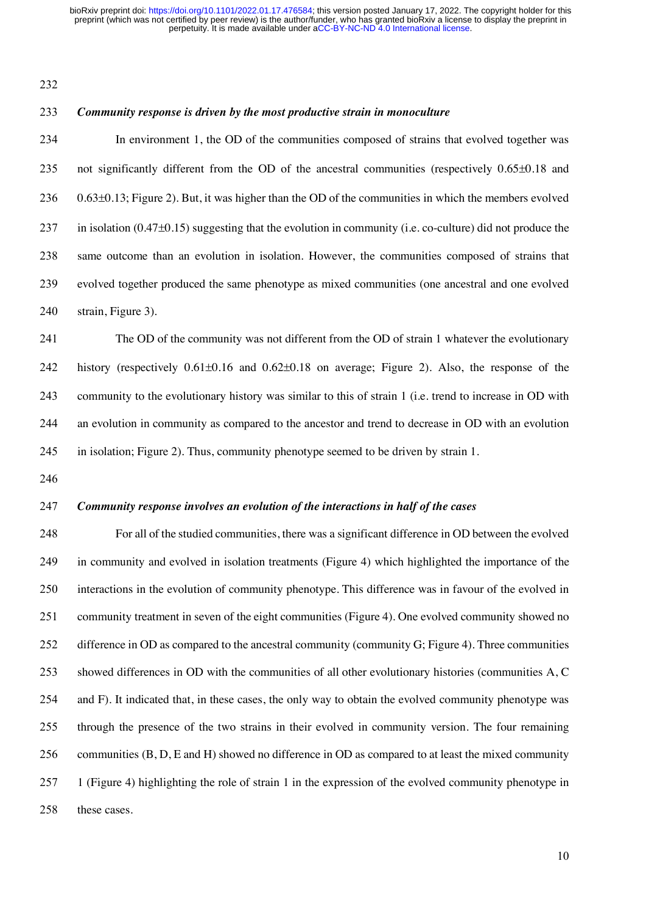#### *Community response is driven by the most productive strain in monoculture*

 In environment 1, the OD of the communities composed of strains that evolved together was not significantly different from the OD of the ancestral communities (respectively 0.65±0.18 and 0.63±0.13; Figure 2). But, it was higher than the OD of the communities in which the members evolved in isolation (0.47±0.15) suggesting that the evolution in community (i.e. co-culture) did not produce the same outcome than an evolution in isolation. However, the communities composed of strains that evolved together produced the same phenotype as mixed communities (one ancestral and one evolved strain, Figure 3).

 The OD of the community was not different from the OD of strain 1 whatever the evolutionary history (respectively 0.61±0.16 and 0.62±0.18 on average; Figure 2). Also, the response of the community to the evolutionary history was similar to this of strain 1 (i.e*.* trend to increase in OD with an evolution in community as compared to the ancestor and trend to decrease in OD with an evolution in isolation; Figure 2). Thus, community phenotype seemed to be driven by strain 1.

# *Community response involves an evolution of the interactions in half of the cases*

 For all of the studied communities, there was a significant difference in OD between the evolved in community and evolved in isolation treatments (Figure 4) which highlighted the importance of the interactions in the evolution of community phenotype. This difference was in favour of the evolved in community treatment in seven of the eight communities (Figure 4). One evolved community showed no 252 difference in OD as compared to the ancestral community (community G; Figure 4). Three communities showed differences in OD with the communities of all other evolutionary histories (communities A, C and F). It indicated that, in these cases, the only way to obtain the evolved community phenotype was through the presence of the two strains in their evolved in community version. The four remaining communities (B, D, E and H) showed no difference in OD as compared to at least the mixed community 1 (Figure 4) highlighting the role of strain 1 in the expression of the evolved community phenotype in these cases.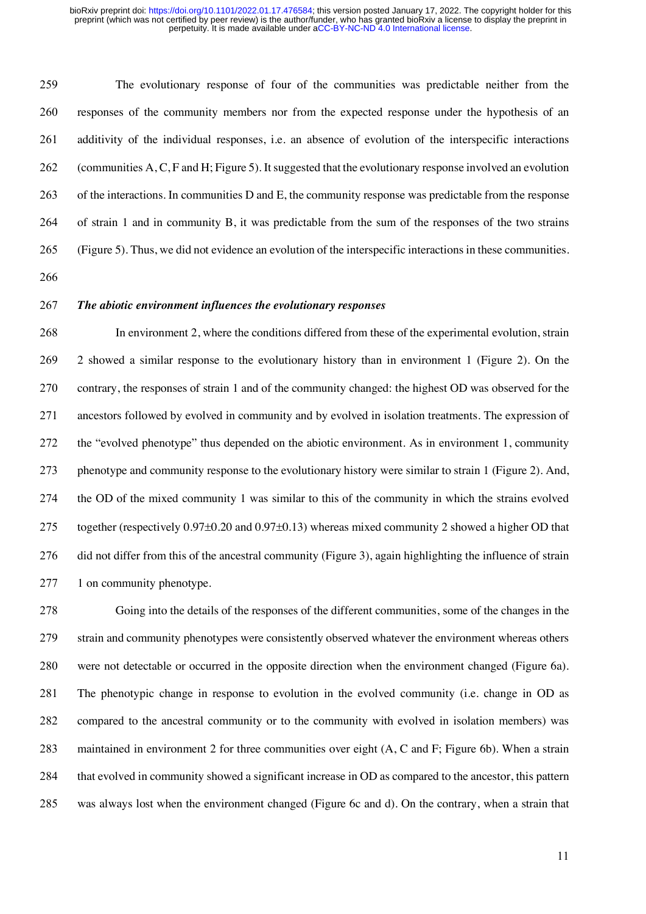The evolutionary response of four of the communities was predictable neither from the responses of the community members nor from the expected response under the hypothesis of an additivity of the individual responses, i.e. an absence of evolution of the interspecific interactions (communities A, C, F and H; Figure 5). Itsuggested that the evolutionary response involved an evolution of the interactions. In communities D and E, the community response was predictable from the response of strain 1 and in community B, it was predictable from the sum of the responses of the two strains (Figure 5). Thus, we did not evidence an evolution of the interspecific interactions in these communities.

# *The abiotic environment influences the evolutionary responses*

 In environment 2, where the conditions differed from these of the experimental evolution, strain 2 showed a similar response to the evolutionary history than in environment 1 (Figure 2). On the contrary, the responses of strain 1 and of the community changed: the highest OD was observed for the ancestors followed by evolved in community and by evolved in isolation treatments. The expression of the "evolved phenotype" thus depended on the abiotic environment. As in environment 1, community phenotype and community response to the evolutionary history were similar to strain 1 (Figure 2). And, the OD of the mixed community 1 was similar to this of the community in which the strains evolved 275 together (respectively  $0.97\pm0.20$  and  $0.97\pm0.13$ ) whereas mixed community 2 showed a higher OD that did not differ from this of the ancestral community (Figure 3), again highlighting the influence of strain 1 on community phenotype.

 Going into the details of the responses of the different communities, some of the changes in the strain and community phenotypes were consistently observed whatever the environment whereas others were not detectable or occurred in the opposite direction when the environment changed (Figure 6a). The phenotypic change in response to evolution in the evolved community (i.e. change in OD as compared to the ancestral community or to the community with evolved in isolation members) was maintained in environment 2 for three communities over eight (A, C and F; Figure 6b). When a strain that evolved in community showed a significant increase in OD as compared to the ancestor, this pattern was always lost when the environment changed (Figure 6c and d). On the contrary, when a strain that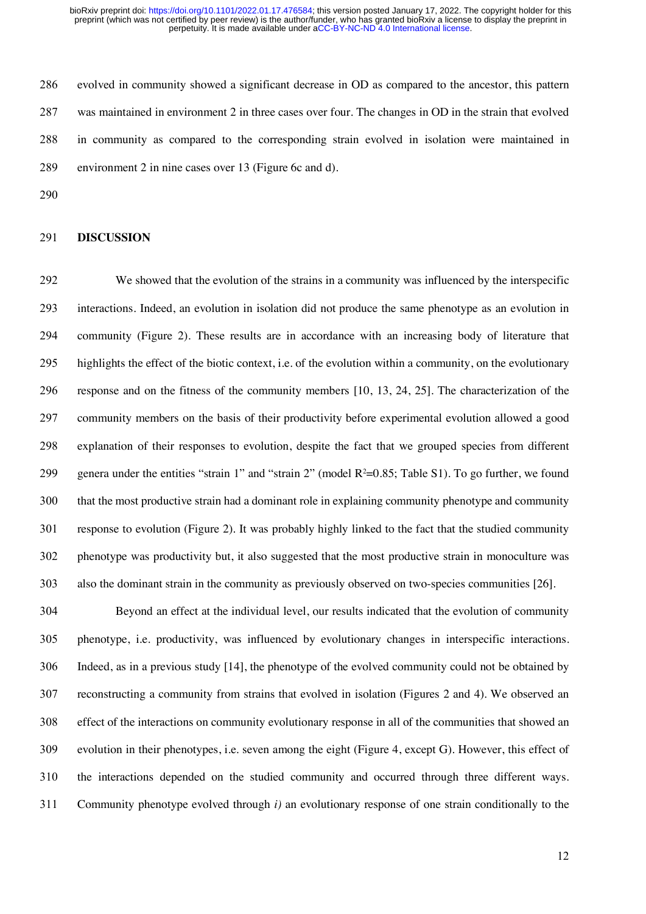evolved in community showed a significant decrease in OD as compared to the ancestor, this pattern was maintained in environment 2 in three cases over four. The changes in OD in the strain that evolved in community as compared to the corresponding strain evolved in isolation were maintained in environment 2 in nine cases over 13 (Figure 6c and d).

#### **DISCUSSION**

 We showed that the evolution of the strains in a community was influenced by the interspecific interactions. Indeed, an evolution in isolation did not produce the same phenotype as an evolution in community (Figure 2). These results are in accordance with an increasing body of literature that highlights the effect of the biotic context, i.e. of the evolution within a community, on the evolutionary response and on the fitness of the community members [10, 13, 24, 25]. The characterization of the community members on the basis of their productivity before experimental evolution allowed a good explanation of their responses to evolution, despite the fact that we grouped species from different 299 genera under the entities "strain 1" and "strain 2" (model  $R^2=0.85$ ; Table S1). To go further, we found that the most productive strain had a dominant role in explaining community phenotype and community response to evolution (Figure 2). It was probably highly linked to the fact that the studied community phenotype was productivity but, it also suggested that the most productive strain in monoculture was also the dominant strain in the community as previously observed on two-species communities [26].

 Beyond an effect at the individual level, our results indicated that the evolution of community phenotype, i.e. productivity, was influenced by evolutionary changes in interspecific interactions. Indeed, as in a previous study [14], the phenotype of the evolved community could not be obtained by reconstructing a community from strains that evolved in isolation (Figures 2 and 4). We observed an effect of the interactions on community evolutionary response in all of the communities that showed an evolution in their phenotypes, i.e. seven among the eight (Figure 4, except G). However, this effect of the interactions depended on the studied community and occurred through three different ways. Community phenotype evolved through *i)* an evolutionary response of one strain conditionally to the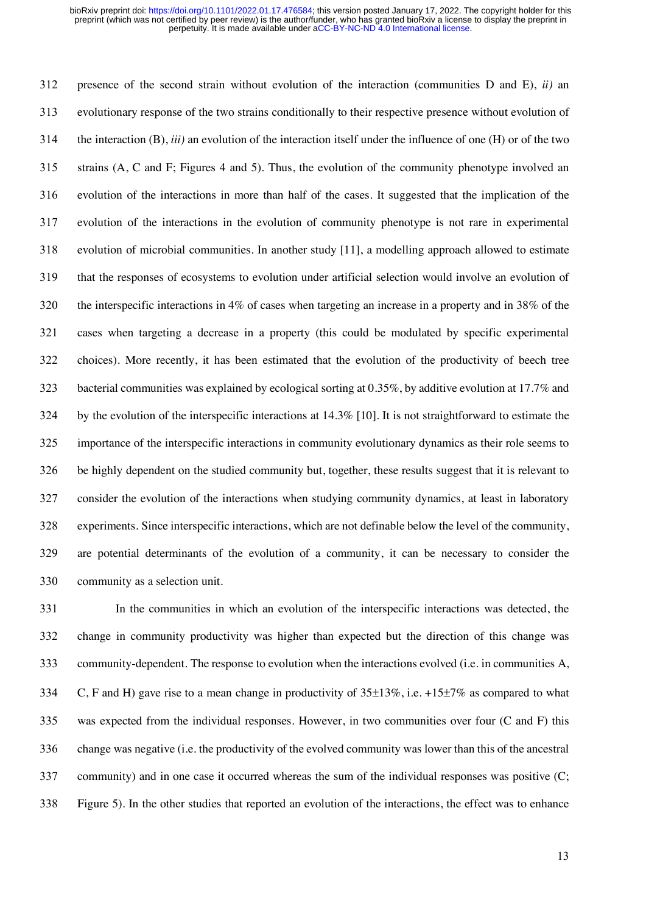presence of the second strain without evolution of the interaction (communities D and E), *ii)* an evolutionary response of the two strains conditionally to their respective presence without evolution of the interaction (B), *iii)* an evolution of the interaction itself under the influence of one (H) or of the two strains (A, C and F; Figures 4 and 5). Thus, the evolution of the community phenotype involved an evolution of the interactions in more than half of the cases. It suggested that the implication of the evolution of the interactions in the evolution of community phenotype is not rare in experimental evolution of microbial communities. In another study [11], a modelling approach allowed to estimate that the responses of ecosystems to evolution under artificial selection would involve an evolution of the interspecific interactions in 4% of cases when targeting an increase in a property and in 38% of the cases when targeting a decrease in a property (this could be modulated by specific experimental choices). More recently, it has been estimated that the evolution of the productivity of beech tree 323 bacterial communities was explained by ecological sorting at 0.35%, by additive evolution at 17.7% and by the evolution of the interspecific interactions at 14.3% [10]. It is not straightforward to estimate the importance of the interspecific interactions in community evolutionary dynamics as their role seems to be highly dependent on the studied community but, together, these results suggest that it is relevant to consider the evolution of the interactions when studying community dynamics, at least in laboratory experiments. Since interspecific interactions, which are not definable below the level of the community, are potential determinants of the evolution of a community, it can be necessary to consider the community as a selection unit.

 In the communities in which an evolution of the interspecific interactions was detected, the change in community productivity was higher than expected but the direction of this change was community-dependent. The response to evolution when the interactions evolved (i.e. in communities A, 334 C, F and H) gave rise to a mean change in productivity of  $35\pm13\%$ , i.e.  $+15\pm7\%$  as compared to what was expected from the individual responses. However, in two communities over four (C and F) this change was negative (i.e. the productivity of the evolved community was lower than this of the ancestral community) and in one case it occurred whereas the sum of the individual responses was positive (C; Figure 5). In the other studies that reported an evolution of the interactions, the effect was to enhance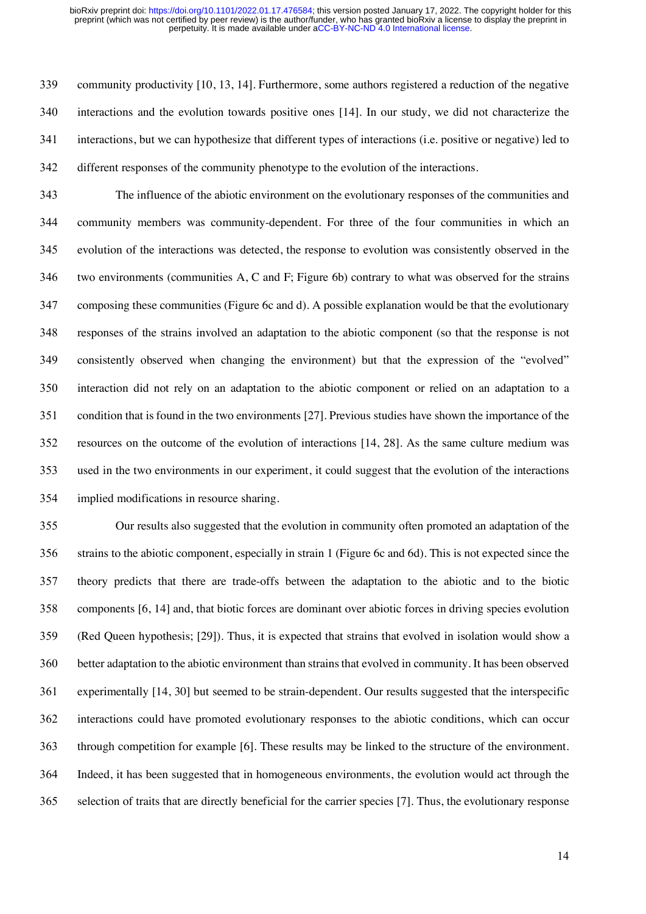community productivity [10, 13, 14]. Furthermore, some authors registered a reduction of the negative interactions and the evolution towards positive ones [14]. In our study, we did not characterize the interactions, but we can hypothesize that different types of interactions (i.e. positive or negative) led to different responses of the community phenotype to the evolution of the interactions.

 The influence of the abiotic environment on the evolutionary responses of the communities and community members was community-dependent. For three of the four communities in which an evolution of the interactions was detected, the response to evolution was consistently observed in the two environments (communities A, C and F; Figure 6b) contrary to what was observed for the strains composing these communities (Figure 6c and d). A possible explanation would be that the evolutionary responses of the strains involved an adaptation to the abiotic component (so that the response is not consistently observed when changing the environment) but that the expression of the "evolved" interaction did not rely on an adaptation to the abiotic component or relied on an adaptation to a condition that is found in the two environments [27]. Previous studies have shown the importance of the resources on the outcome of the evolution of interactions [14, 28]. As the same culture medium was used in the two environments in our experiment, it could suggest that the evolution of the interactions implied modifications in resource sharing.

 Our results also suggested that the evolution in community often promoted an adaptation of the strains to the abiotic component, especially in strain 1 (Figure 6c and 6d). This is not expected since the theory predicts that there are trade-offs between the adaptation to the abiotic and to the biotic components [6, 14] and, that biotic forces are dominant over abiotic forces in driving species evolution (Red Queen hypothesis; [29]). Thus, it is expected that strains that evolved in isolation would show a better adaptation to the abiotic environment than strains that evolved in community. It has been observed experimentally [14, 30] but seemed to be strain-dependent. Our results suggested that the interspecific interactions could have promoted evolutionary responses to the abiotic conditions, which can occur through competition for example [6]. These results may be linked to the structure of the environment. Indeed, it has been suggested that in homogeneous environments, the evolution would act through the selection of traits that are directly beneficial for the carrier species [7]. Thus, the evolutionary response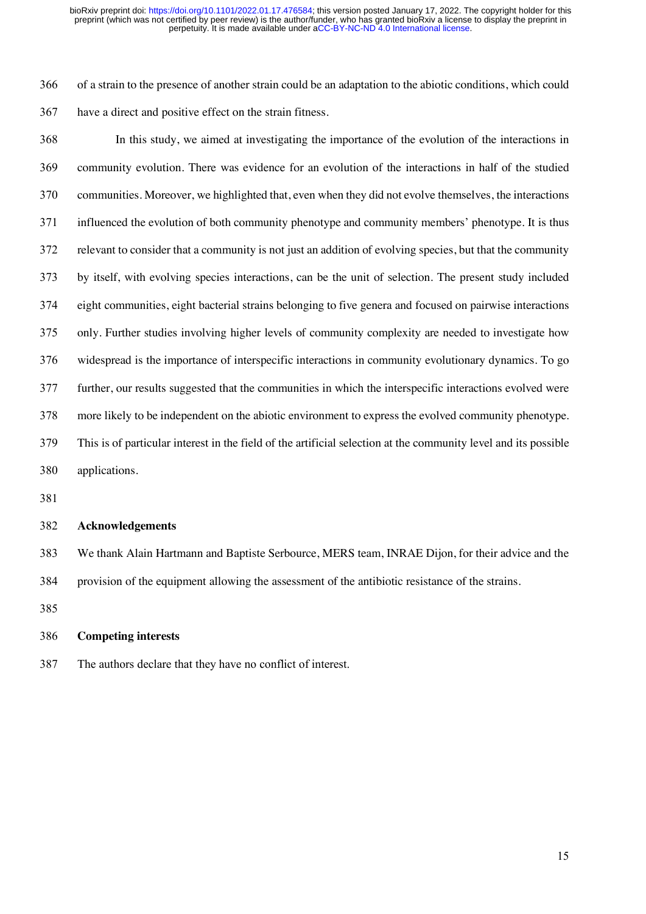of a strain to the presence of another strain could be an adaptation to the abiotic conditions, which could have a direct and positive effect on the strain fitness.

 In this study, we aimed at investigating the importance of the evolution of the interactions in community evolution. There was evidence for an evolution of the interactions in half of the studied communities. Moreover, we highlighted that, even when they did not evolve themselves, the interactions influenced the evolution of both community phenotype and community members' phenotype. It is thus relevant to consider that a community is not just an addition of evolving species, but that the community by itself, with evolving species interactions, can be the unit of selection. The present study included eight communities, eight bacterial strains belonging to five genera and focused on pairwise interactions only. Further studies involving higher levels of community complexity are needed to investigate how widespread is the importance of interspecific interactions in community evolutionary dynamics. To go further, our results suggested that the communities in which the interspecific interactions evolved were more likely to be independent on the abiotic environment to express the evolved community phenotype. This is of particular interest in the field of the artificial selection at the community level and its possible applications.

### **Acknowledgements**

 We thank Alain Hartmann and Baptiste Serbource, MERS team, INRAE Dijon, for their advice and the provision of the equipment allowing the assessment of the antibiotic resistance of the strains.

# **Competing interests**

The authors declare that they have no conflict of interest.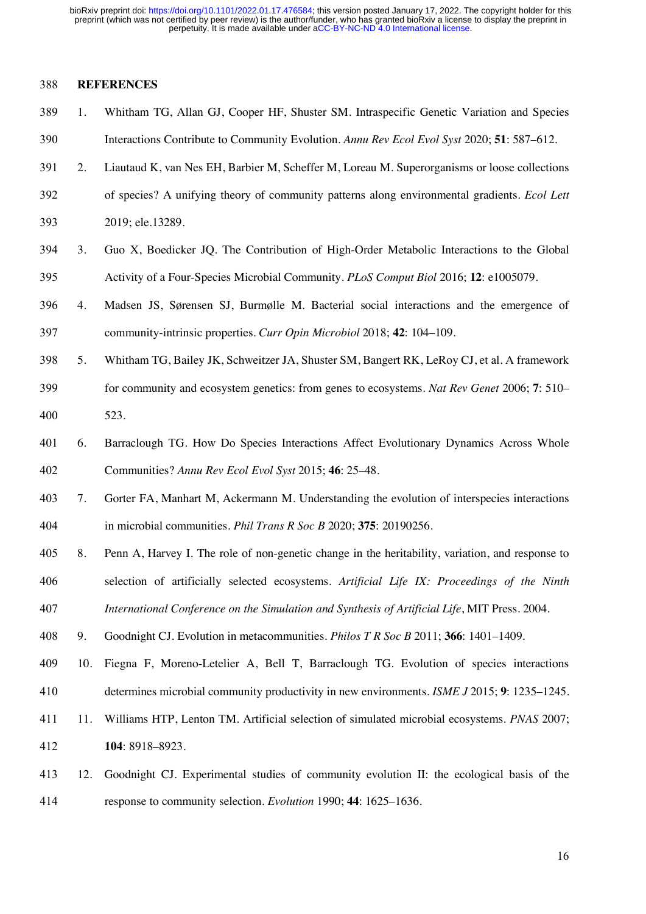# **REFERENCES**

- 1. Whitham TG, Allan GJ, Cooper HF, Shuster SM. Intraspecific Genetic Variation and Species Interactions Contribute to Community Evolution. *Annu Rev Ecol Evol Syst* 2020; **51**: 587–612.
- 2. Liautaud K, van Nes EH, Barbier M, Scheffer M, Loreau M. Superorganisms or loose collections
- of species? A unifying theory of community patterns along environmental gradients. *Ecol Lett* 2019; ele.13289.
- 3. Guo X, Boedicker JQ. The Contribution of High-Order Metabolic Interactions to the Global Activity of a Four-Species Microbial Community. *PLoS Comput Biol* 2016; **12**: e1005079.
- 4. Madsen JS, Sørensen SJ, Burmølle M. Bacterial social interactions and the emergence of community-intrinsic properties. *Curr Opin Microbiol* 2018; **42**: 104–109.
- 5. Whitham TG, Bailey JK, Schweitzer JA, Shuster SM, Bangert RK, LeRoy CJ, et al. A framework for community and ecosystem genetics: from genes to ecosystems. *Nat Rev Genet* 2006; **7**: 510– 523.
- 6. Barraclough TG. How Do Species Interactions Affect Evolutionary Dynamics Across Whole Communities? *Annu Rev Ecol Evol Syst* 2015; **46**: 25–48.
- 7. Gorter FA, Manhart M, Ackermann M. Understanding the evolution of interspecies interactions in microbial communities. *Phil Trans R Soc B* 2020; **375**: 20190256.
- 8. Penn A, Harvey I. The role of non-genetic change in the heritability, variation, and response to selection of artificially selected ecosystems. *Artificial Life IX: Proceedings of the Ninth*
- *International Conference on the Simulation and Synthesis of Artificial Life*, MIT Press. 2004.
- 9. Goodnight CJ. Evolution in metacommunities. *Philos T R Soc B* 2011; **366**: 1401–1409.
- 10. Fiegna F, Moreno-Letelier A, Bell T, Barraclough TG. Evolution of species interactions determines microbial community productivity in new environments. *ISME J* 2015; **9**: 1235–1245.
- 11. Williams HTP, Lenton TM. Artificial selection of simulated microbial ecosystems. *PNAS* 2007; **104**: 8918–8923.
- 12. Goodnight CJ. Experimental studies of community evolution II: the ecological basis of the response to community selection. *Evolution* 1990; **44**: 1625–1636.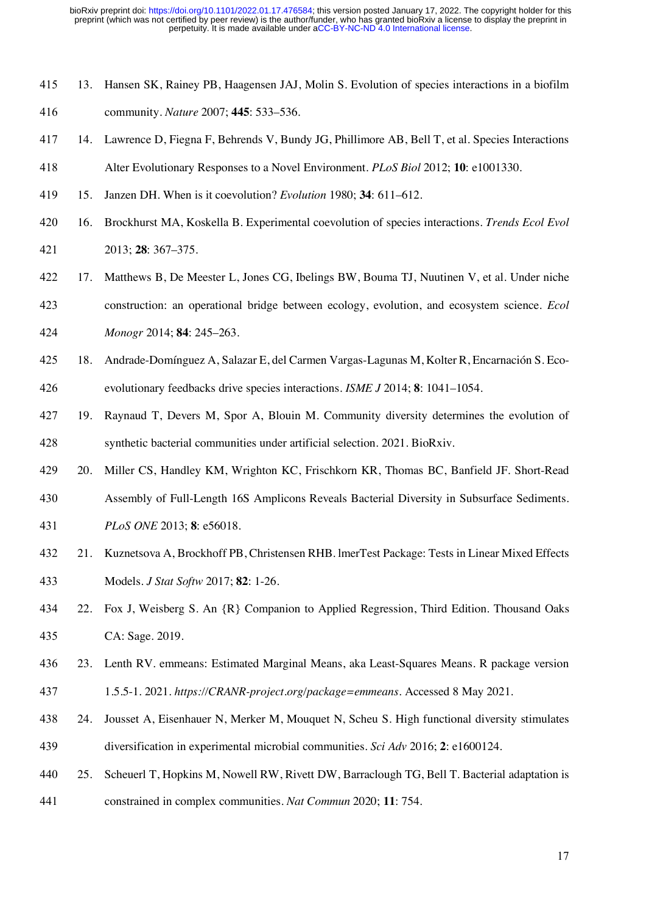- 13. Hansen SK, Rainey PB, Haagensen JAJ, Molin S. Evolution of species interactions in a biofilm
- community. *Nature* 2007; **445**: 533–536.
- 14. Lawrence D, Fiegna F, Behrends V, Bundy JG, Phillimore AB, Bell T, et al. Species Interactions
- Alter Evolutionary Responses to a Novel Environment. *PLoS Biol* 2012; **10**: e1001330.
- 15. Janzen DH. When is it coevolution? *Evolution* 1980; **34**: 611–612.
- 16. Brockhurst MA, Koskella B. Experimental coevolution of species interactions. *Trends Ecol Evol* 2013; **28**: 367–375.
- 17. Matthews B, De Meester L, Jones CG, Ibelings BW, Bouma TJ, Nuutinen V, et al. Under niche construction: an operational bridge between ecology, evolution, and ecosystem science. *Ecol*
- *Monogr* 2014; **84**: 245–263.
- 18. Andrade-Domínguez A, Salazar E, del Carmen Vargas-Lagunas M, Kolter R, Encarnación S. Eco-evolutionary feedbacks drive species interactions. *ISME J* 2014; **8**: 1041–1054.
- 19. Raynaud T, Devers M, Spor A, Blouin M. Community diversity determines the evolution of synthetic bacterial communities under artificial selection. 2021. BioRxiv.
- 20. Miller CS, Handley KM, Wrighton KC, Frischkorn KR, Thomas BC, Banfield JF. Short-Read
- Assembly of Full-Length 16S Amplicons Reveals Bacterial Diversity in Subsurface Sediments. *PLoS ONE* 2013; **8**: e56018.
- 21. Kuznetsova A, Brockhoff PB, Christensen RHB. lmerTest Package: Tests in Linear Mixed Effects Models. *J Stat Softw* 2017; **82**: 1-26.
- 22. Fox J, Weisberg S. An {R} Companion to Applied Regression, Third Edition. Thousand Oaks CA: Sage. 2019.
- 23. Lenth RV. emmeans: Estimated Marginal Means, aka Least-Squares Means. R package version
- 1.5.5-1. 2021. *https://CRANR-project.org/package=emmeans*. Accessed 8 May 2021.
- 24. Jousset A, Eisenhauer N, Merker M, Mouquet N, Scheu S. High functional diversity stimulates diversification in experimental microbial communities. *Sci Adv* 2016; **2**: e1600124.
- 25. Scheuerl T, Hopkins M, Nowell RW, Rivett DW, Barraclough TG, Bell T. Bacterial adaptation is
- constrained in complex communities. *Nat Commun* 2020; **11**: 754.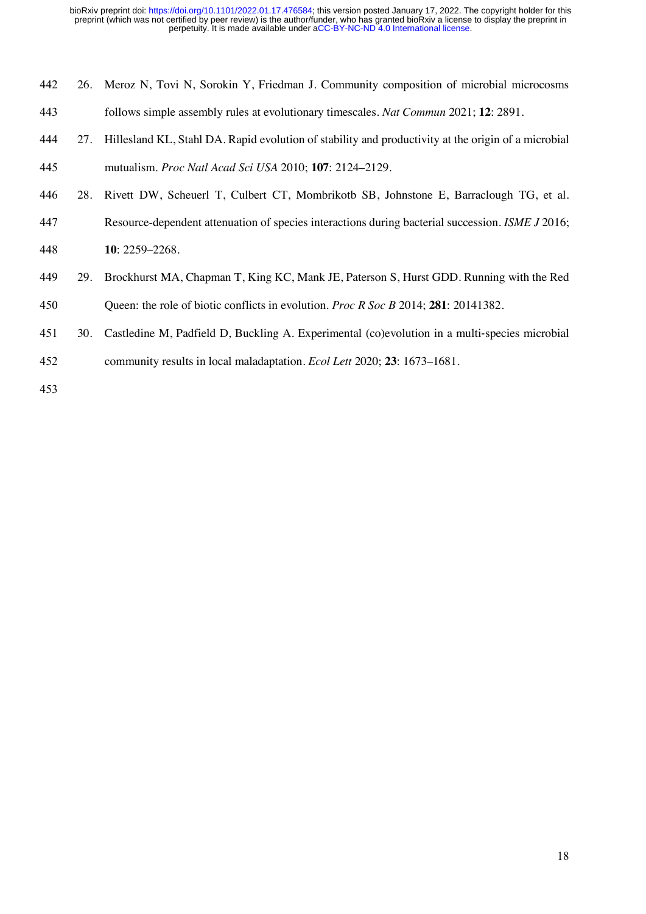- 26. Meroz N, Tovi N, Sorokin Y, Friedman J. Community composition of microbial microcosms
- follows simple assembly rules at evolutionary timescales. *Nat Commun* 2021; **12**: 2891.
- 27. Hillesland KL, Stahl DA. Rapid evolution of stability and productivity at the origin of a microbial mutualism. *Proc Natl Acad Sci USA* 2010; **107**: 2124–2129.
- 28. Rivett DW, Scheuerl T, Culbert CT, Mombrikotb SB, Johnstone E, Barraclough TG, et al.
- Resource-dependent attenuation of species interactions during bacterial succession. *ISME J* 2016;
- **10**: 2259–2268.
- 29. Brockhurst MA, Chapman T, King KC, Mank JE, Paterson S, Hurst GDD. Running with the Red
- Queen: the role of biotic conflicts in evolution. *Proc R Soc B* 2014; **281**: 20141382.
- 30. Castledine M, Padfield D, Buckling A. Experimental (co)evolution in a multi-species microbial
- community results in local maladaptation. *Ecol Lett* 2020; **23**: 1673–1681.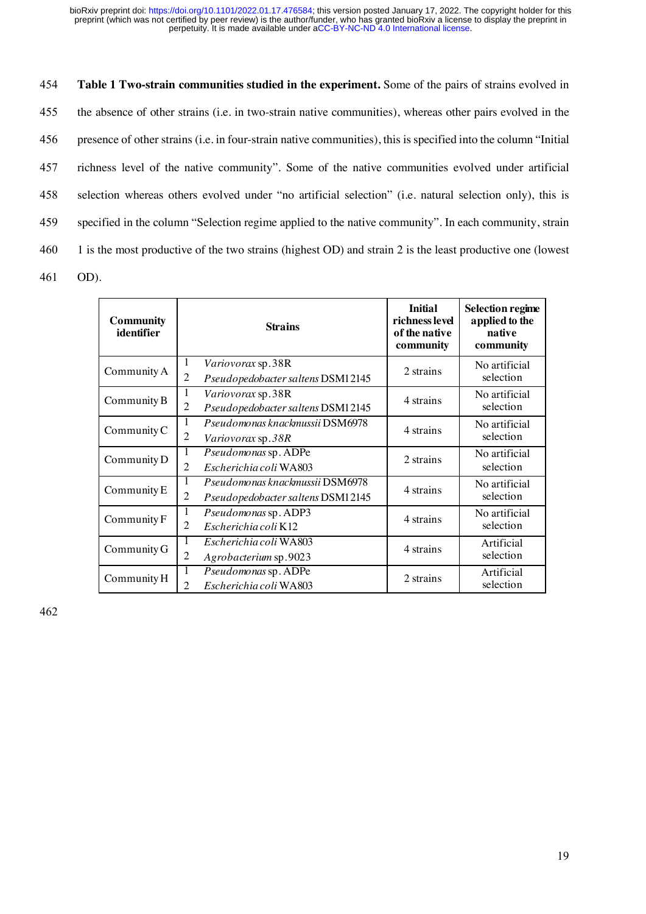**Table 1 Two-strain communities studied in the experiment.** Some of the pairs of strains evolved in the absence of other strains (i.e. in two-strain native communities), whereas other pairs evolved in the presence of other strains (i.e. in four-strain native communities), this is specified into the column "Initial richness level of the native community". Some of the native communities evolved under artificial selection whereas others evolved under "no artificial selection" (i.e. natural selection only), this is specified in the column "Selection regime applied to the native community". In each community, strain 1 is the most productive of the two strains (highest OD) and strain 2 is the least productive one (lowest 461 OD).

| <b>Community</b><br>identifier | <b>Strains</b>                                                                              | <b>Initial</b><br>richness level<br>of the native<br>community | <b>Selection regime</b><br>applied to the<br>native<br>community |
|--------------------------------|---------------------------------------------------------------------------------------------|----------------------------------------------------------------|------------------------------------------------------------------|
| Community A                    | 1<br>Variovorax sp.38R<br>2<br>Pseudopedobacter saltens DSM12145                            | 2 strains                                                      | No artificial<br>selection                                       |
| Community B                    | $\mathbf{1}$<br>Variovorax sp.38R<br>$\overline{2}$<br>Pseudopedobacter saltens DSM12145    | 4 strains                                                      | No artificial<br>selection                                       |
| Community C                    | 1<br>Pseudomonas knackmussii DSM6978<br>2<br>Variovorax sp.38R                              | 4 strains                                                      | No artificial<br>selection                                       |
| Community D                    | $\mathbf{1}$<br>Pseudomonas sp. ADPe<br>2<br>Escherichia coli WA803                         | 2 strains                                                      | No artificial<br>selection                                       |
| Community E                    | Pseudomonas knackmussii DSM6978<br>1<br>$\overline{2}$<br>Pseudopedobacter saltens DSM12145 | 4 strains                                                      | No artificial<br>selection                                       |
| Community F                    | 1<br>Pseudomonas sp. ADP3<br>2<br>Escherichia coli K12                                      | 4 strains                                                      | No artificial<br>selection                                       |
| Community G                    | 1<br>Escherichia coli WA803<br>$\overline{2}$<br>Agrobacterium sp.9023                      | 4 strains                                                      | Artificial<br>selection                                          |
| Community H                    | 1<br>Pseudomonas sp. ADPe<br>$\overline{2}$<br>Escherichia coli WA803                       | 2 strains                                                      | Artificial<br>selection                                          |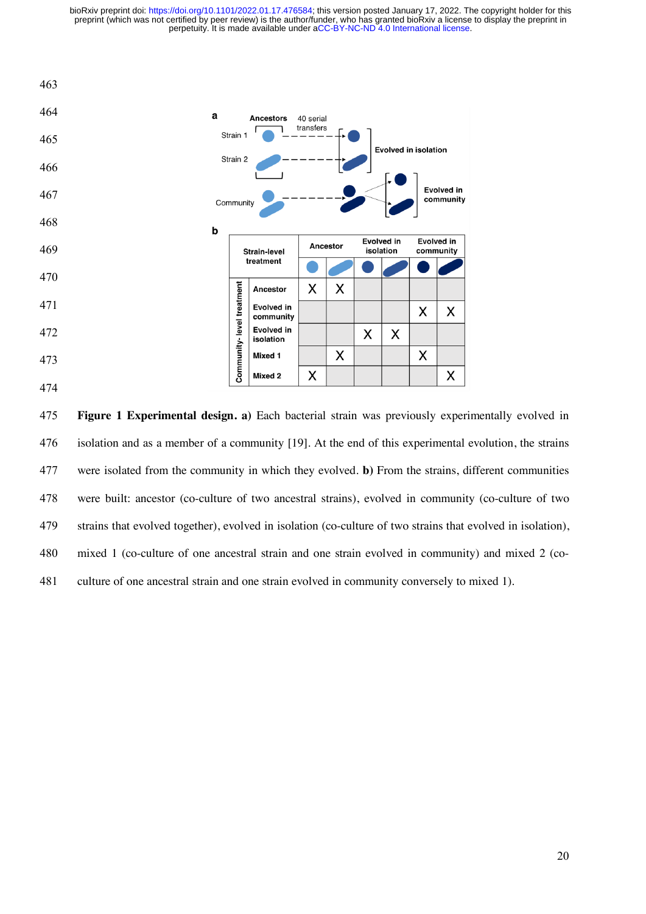

 **Figure 1 Experimental design. a)** Each bacterial strain was previously experimentally evolved in isolation and as a member of a community [19]. At the end of this experimental evolution, the strains were isolated from the community in which they evolved. **b)** From the strains, different communities were built: ancestor (co-culture of two ancestral strains), evolved in community (co-culture of two strains that evolved together), evolved in isolation (co-culture of two strains that evolved in isolation), mixed 1 (co-culture of one ancestral strain and one strain evolved in community) and mixed 2 (co-culture of one ancestral strain and one strain evolved in community conversely to mixed 1).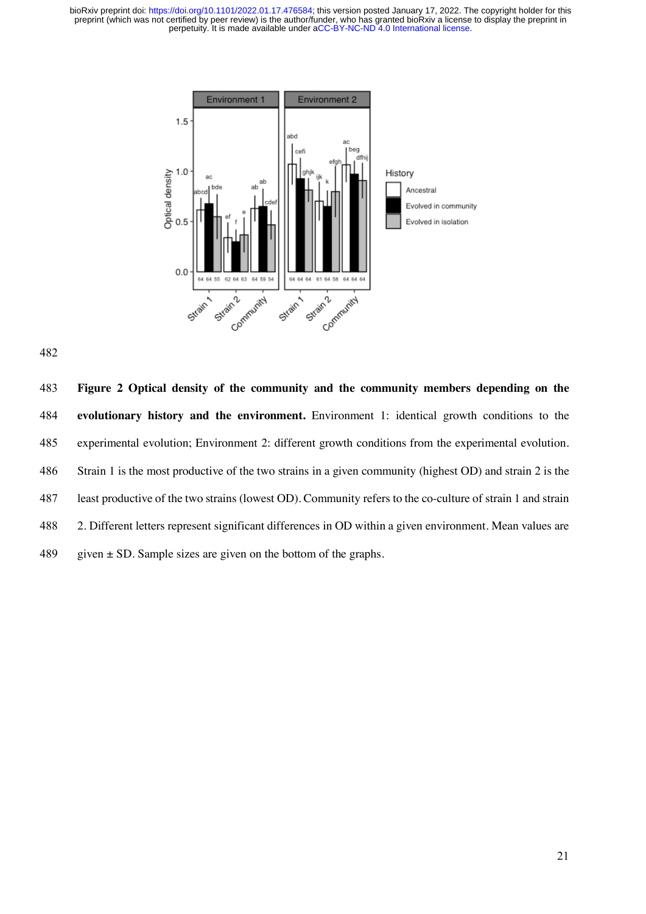

 **Figure 2 Optical density of the community and the community members depending on the evolutionary history and the environment.** Environment 1: identical growth conditions to the experimental evolution; Environment 2: different growth conditions from the experimental evolution. Strain 1 is the most productive of the two strains in a given community (highest OD) and strain 2 is the least productive of the two strains (lowest OD). Community refers to the co-culture of strain 1 and strain 2. Different letters represent significant differences in OD within a given environment. Mean values are 489 given  $\pm$  SD. Sample sizes are given on the bottom of the graphs.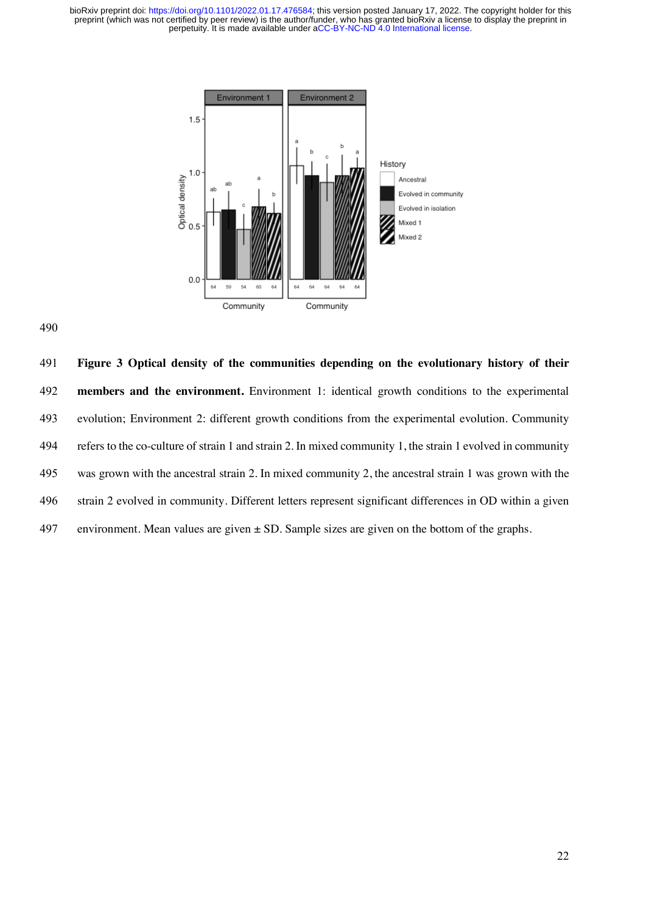



 **Figure 3 Optical density of the communities depending on the evolutionary history of their members and the environment.** Environment 1: identical growth conditions to the experimental evolution; Environment 2: different growth conditions from the experimental evolution. Community refers to the co-culture of strain 1 and strain 2. In mixed community 1, the strain 1 evolved in community was grown with the ancestral strain 2. In mixed community 2, the ancestral strain 1 was grown with the strain 2 evolved in community. Different letters represent significant differences in OD within a given 497 environment. Mean values are given  $\pm$  SD. Sample sizes are given on the bottom of the graphs.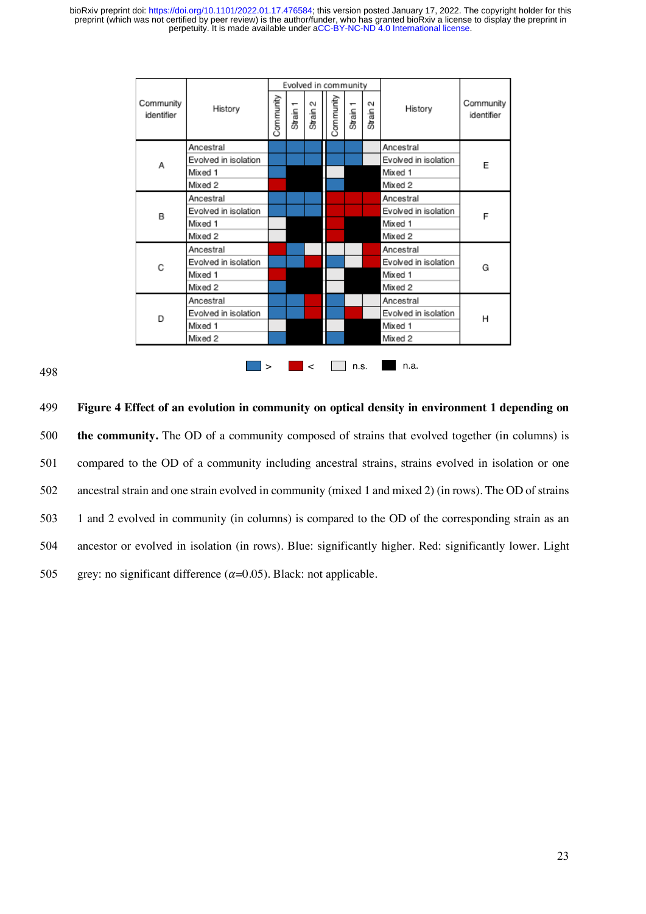|                         |                      | Evolved in community |          |             |  |           |                     |             |                      |                         |
|-------------------------|----------------------|----------------------|----------|-------------|--|-----------|---------------------|-------------|----------------------|-------------------------|
| Community<br>identifier | History              | Community            | Strain 1 | 5<br>Strain |  | Community | Strain <sub>1</sub> | 5<br>Strain | History              | Community<br>identifier |
|                         | Ancestral            |                      |          |             |  |           |                     |             | Ancestral            |                         |
| А                       | Evolved in isolation |                      |          |             |  |           |                     |             | Evolved in isolation | E                       |
|                         | Mixed 1              |                      |          |             |  |           |                     |             | Mixed 1              |                         |
|                         | Mixed 2              |                      |          |             |  |           |                     |             | Mixed 2              |                         |
|                         | Ancestral            |                      |          |             |  |           |                     |             | Ancestral            |                         |
| В                       | Evolved in isolation |                      |          |             |  |           |                     |             | Evolved in isolation | F                       |
|                         | Mixed 1              |                      |          |             |  |           |                     |             | Mixed 1              |                         |
|                         | Mixed 2              |                      |          |             |  |           |                     |             | Mixed 2              |                         |
|                         | Ancestral            |                      |          |             |  |           |                     |             | Ancestral            |                         |
| C                       | Evolved in isolation |                      |          |             |  |           |                     |             | Evolved in isolation | G                       |
|                         | Mixed 1              |                      |          |             |  |           |                     |             | Mixed 1              |                         |
|                         | Mixed 2              |                      |          |             |  |           |                     |             | Mixed 2              |                         |
|                         | Ancestral            |                      |          |             |  |           |                     |             | Ancestral            |                         |
| D                       | Evolved in isolation |                      |          |             |  |           |                     |             | Evolved in isolation | н                       |
|                         | Mixed 1              |                      |          |             |  |           |                     |             | Mixed 1              |                         |
|                         | Mixed 2              |                      |          |             |  |           |                     |             | Mixed 2              |                         |
|                         |                      | $\geq$               |          | $\lt$       |  |           | n.s.                |             | n.a.                 |                         |

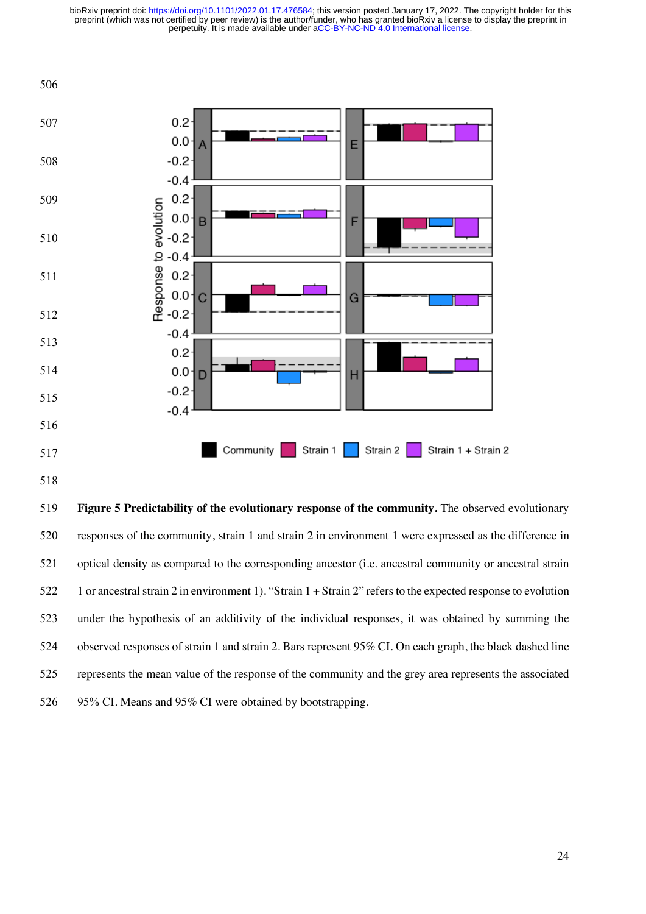

 **Figure 5 Predictability of the evolutionary response of the community.** The observed evolutionary responses of the community, strain 1 and strain 2 in environment 1 were expressed as the difference in optical density as compared to the corresponding ancestor (i.e. ancestral community or ancestral strain 1 or ancestral strain 2 in environment 1). "Strain 1 + Strain 2" refers to the expected response to evolution under the hypothesis of an additivity of the individual responses, it was obtained by summing the observed responses of strain 1 and strain 2. Bars represent 95% CI. On each graph, the black dashed line represents the mean value of the response of the community and the grey area represents the associated 95% CI. Means and 95% CI were obtained by bootstrapping.